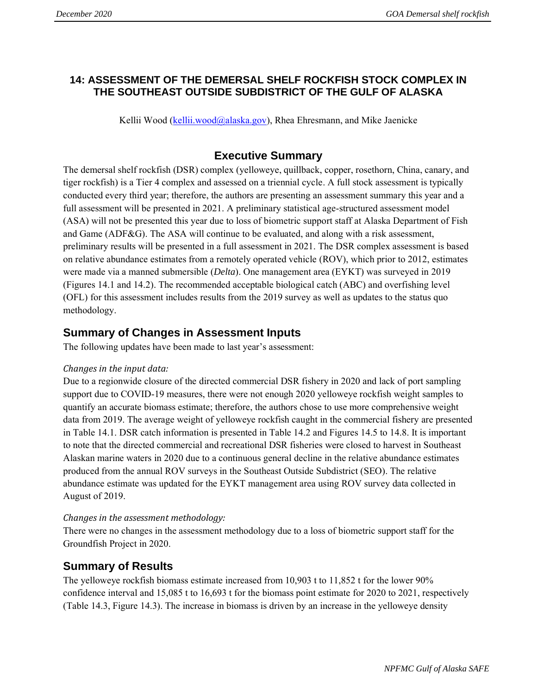### **14: ASSESSMENT OF THE DEMERSAL SHELF ROCKFISH STOCK COMPLEX IN THE SOUTHEAST OUTSIDE SUBDISTRICT OF THE GULF OF ALASKA**

Kellii Wood [\(kellii.wood@alaska.gov\)](mailto:kellii.wood@alaska.gov), Rhea Ehresmann, and Mike Jaenicke

## **Executive Summary**

The demersal shelf rockfish (DSR) complex (yelloweye, quillback, copper, rosethorn, China, canary, and tiger rockfish) is a Tier 4 complex and assessed on a triennial cycle. A full stock assessment is typically conducted every third year; therefore, the authors are presenting an assessment summary this year and a full assessment will be presented in 2021. A preliminary statistical age-structured assessment model (ASA) will not be presented this year due to loss of biometric support staff at Alaska Department of Fish and Game (ADF&G). The ASA will continue to be evaluated, and along with a risk assessment, preliminary results will be presented in a full assessment in 2021. The DSR complex assessment is based on relative abundance estimates from a remotely operated vehicle (ROV), which prior to 2012, estimates were made via a manned submersible (*Delta*). One management area (EYKT) was surveyed in 2019 (Figures 14.1 and 14.2). The recommended acceptable biological catch (ABC) and overfishing level (OFL) for this assessment includes results from the 2019 survey as well as updates to the status quo methodology.

## **Summary of Changes in Assessment Inputs**

The following updates have been made to last year's assessment:

#### *Changes in the input data:*

Due to a regionwide closure of the directed commercial DSR fishery in 2020 and lack of port sampling support due to COVID-19 measures, there were not enough 2020 yelloweye rockfish weight samples to quantify an accurate biomass estimate; therefore, the authors chose to use more comprehensive weight data from 2019. The average weight of yelloweye rockfish caught in the commercial fishery are presented in Table 14.1. DSR catch information is presented in Table 14.2 and Figures 14.5 to 14.8. It is important to note that the directed commercial and recreational DSR fisheries were closed to harvest in Southeast Alaskan marine waters in 2020 due to a continuous general decline in the relative abundance estimates produced from the annual ROV surveys in the Southeast Outside Subdistrict (SEO). The relative abundance estimate was updated for the EYKT management area using ROV survey data collected in August of 2019.

#### *Changes in the assessment methodology:*

There were no changes in the assessment methodology due to a loss of biometric support staff for the Groundfish Project in 2020.

## **Summary of Results**

The yelloweye rockfish biomass estimate increased from 10,903 t to 11,852 t for the lower 90% confidence interval and 15,085 t to 16,693 t for the biomass point estimate for 2020 to 2021, respectively (Table 14.3, Figure 14.3). The increase in biomass is driven by an increase in the yelloweye density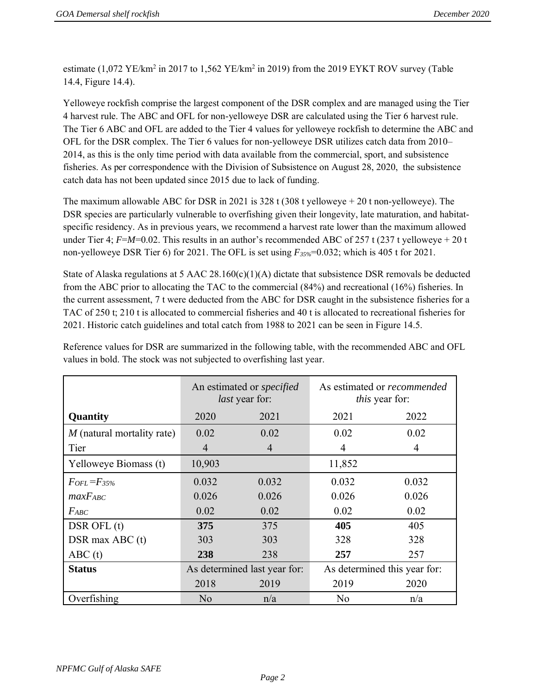estimate  $(1,072 \text{ YE/km}^2 \text{ in } 2017 \text{ to } 1,562 \text{ YE/km}^2 \text{ in } 2019)$  from the 2019 EYKT ROV survey (Table 14.4, Figure 14.4).

Yelloweye rockfish comprise the largest component of the DSR complex and are managed using the Tier 4 harvest rule. The ABC and OFL for non-yelloweye DSR are calculated using the Tier 6 harvest rule. The Tier 6 ABC and OFL are added to the Tier 4 values for yelloweye rockfish to determine the ABC and OFL for the DSR complex. The Tier 6 values for non-yelloweye DSR utilizes catch data from 2010– 2014, as this is the only time period with data available from the commercial, sport, and subsistence fisheries. As per correspondence with the Division of Subsistence on August 28, 2020, the subsistence catch data has not been updated since 2015 due to lack of funding.

The maximum allowable ABC for DSR in 2021 is 328 t (308 t yelloweye + 20 t non-yelloweye). The DSR species are particularly vulnerable to overfishing given their longevity, late maturation, and habitatspecific residency. As in previous years, we recommend a harvest rate lower than the maximum allowed under Tier 4;  $F=M=0.02$ . This results in an author's recommended ABC of 257 t (237 t yelloweye + 20 t non-yelloweye DSR Tier 6) for 2021. The OFL is set using *F35%*=0.032; which is 405 t for 2021.

State of Alaska regulations at 5 AAC  $28.160(c)(1)(A)$  dictate that subsistence DSR removals be deducted from the ABC prior to allocating the TAC to the commercial (84%) and recreational (16%) fisheries. In the current assessment, 7 t were deducted from the ABC for DSR caught in the subsistence fisheries for a TAC of 250 t; 210 t is allocated to commercial fisheries and 40 t is allocated to recreational fisheries for 2021. Historic catch guidelines and total catch from 1988 to 2021 can be seen in Figure 14.5.

|                            |                | An estimated or <i>specified</i><br><i>last</i> year for: | As estimated or <i>recommended</i><br><i>this</i> year for: |                              |  |  |
|----------------------------|----------------|-----------------------------------------------------------|-------------------------------------------------------------|------------------------------|--|--|
| Quantity                   | 2020           | 2021                                                      | 2021                                                        | 2022                         |  |  |
| M (natural mortality rate) | 0.02           | 0.02                                                      | 0.02                                                        | 0.02                         |  |  |
| Tier                       | $\overline{4}$ | 4                                                         | 4                                                           | 4                            |  |  |
| Yelloweye Biomass (t)      | 10,903         |                                                           | 11,852                                                      |                              |  |  |
| $F_{OFL} = F_{35\%}$       | 0.032          | 0.032                                                     | 0.032                                                       | 0.032                        |  |  |
| $maxF_{ABC}$               | 0.026          | 0.026                                                     | 0.026                                                       | 0.026                        |  |  |
| $F_{ABC}$                  | 0.02           | 0.02                                                      | 0.02                                                        | 0.02                         |  |  |
| DSR OFL (t)                | 375            | 375                                                       | 405                                                         | 405                          |  |  |
| DSR max ABC (t)            | 303            | 303                                                       | 328                                                         | 328                          |  |  |
| ABC(t)                     | 238            | 238                                                       | 257                                                         | 257                          |  |  |
| <b>Status</b>              |                | As determined last year for:                              |                                                             | As determined this year for: |  |  |
|                            | 2018           | 2019                                                      | 2019                                                        | 2020                         |  |  |
| Overfishing                | N <sub>0</sub> | n/a                                                       | N <sub>0</sub>                                              | n/a                          |  |  |

Reference values for DSR are summarized in the following table, with the recommended ABC and OFL values in bold. The stock was not subjected to overfishing last year.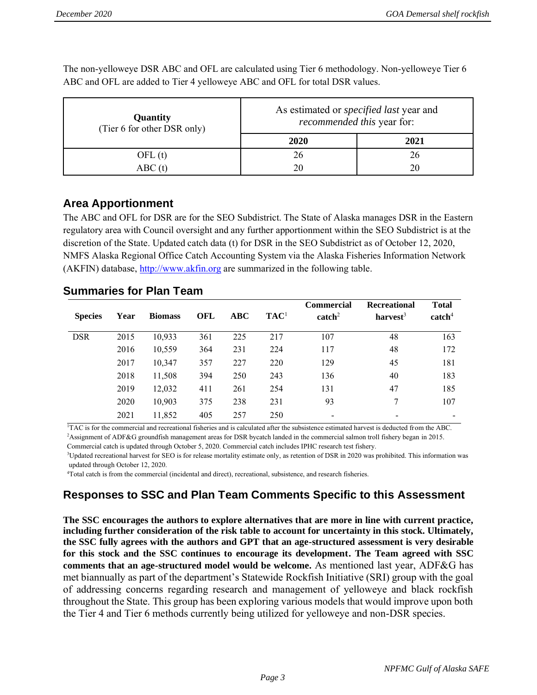**Quantity**  (Tier 6 for other DSR only) As estimated or *specified last* year and *recommended this* year for: **2020 2021** OFL (t) 26 26 26 ABC (t) 20 20 20

The non-yelloweye DSR ABC and OFL are calculated using Tier 6 methodology. Non-yelloweye Tier 6 ABC and OFL are added to Tier 4 yelloweye ABC and OFL for total DSR values.

## **Area Apportionment**

The ABC and OFL for DSR are for the SEO Subdistrict. The State of Alaska manages DSR in the Eastern regulatory area with Council oversight and any further apportionment within the SEO Subdistrict is at the discretion of the State. Updated catch data (t) for DSR in the SEO Subdistrict as of October 12, 2020, NMFS Alaska Regional Office Catch Accounting System via the Alaska Fisheries Information Network (AKFIN) database, [http://www.akfin.org](http://www.akfin.org/) are summarized in the following table.

| <b>Summaries for Plan Team</b> |  |  |  |
|--------------------------------|--|--|--|
|--------------------------------|--|--|--|

| <b>Species</b> | Year | <b>Biomass</b> | <b>OFL</b> | ABC | TAC <sup>1</sup> | <b>Commercial</b><br>$\text{catch}^2$ | Recreational<br>harvest <sup>3</sup> | <b>Total</b><br>$\text{catch}^4$ |
|----------------|------|----------------|------------|-----|------------------|---------------------------------------|--------------------------------------|----------------------------------|
| <b>DSR</b>     | 2015 | 10,933         | 361        | 225 | 217              | 107                                   | 48                                   | 163                              |
|                | 2016 | 10,559         | 364        | 231 | 224              | 117                                   | 48                                   | 172                              |
|                | 2017 | 10,347         | 357        | 227 | 220              | 129                                   | 45                                   | 181                              |
|                | 2018 | 11,508         | 394        | 250 | 243              | 136                                   | 40                                   | 183                              |
|                | 2019 | 12,032         | 411        | 261 | 254              | 131                                   | 47                                   | 185                              |
|                | 2020 | 10,903         | 375        | 238 | 231              | 93                                    | 7                                    | 107                              |
|                | 2021 | 11,852         | 405        | 257 | 250              | $\overline{\phantom{a}}$              |                                      |                                  |

<sup>1</sup>TAC is for the commercial and recreational fisheries and is calculated after the subsistence estimated harvest is deducted from the ABC. <sup>2</sup>Assignment of ADF&G groundfish management areas for DSR bycatch landed in the commercial salmon troll fishery began in 2015.

Commercial catch is updated through October 5, 2020. Commercial catch includes IPHC research test fishery.

<sup>3</sup>Updated recreational harvest for SEO is for release mortality estimate only, as retention of DSR in 2020 was prohibited. This information was updated through October 12, 2020.

<sup>4</sup>Total catch is from the commercial (incidental and direct), recreational, subsistence, and research fisheries.

# **Responses to SSC and Plan Team Comments Specific to this Assessment**

**The SSC encourages the authors to explore alternatives that are more in line with current practice, including further consideration of the risk table to account for uncertainty in this stock. Ultimately, the SSC fully agrees with the authors and GPT that an age-structured assessment is very desirable for this stock and the SSC continues to encourage its development. The Team agreed with SSC comments that an age-structured model would be welcome.** As mentioned last year, ADF&G has met biannually as part of the department's Statewide Rockfish Initiative (SRI) group with the goal of addressing concerns regarding research and management of yelloweye and black rockfish throughout the State. This group has been exploring various models that would improve upon both the Tier 4 and Tier 6 methods currently being utilized for yelloweye and non-DSR species.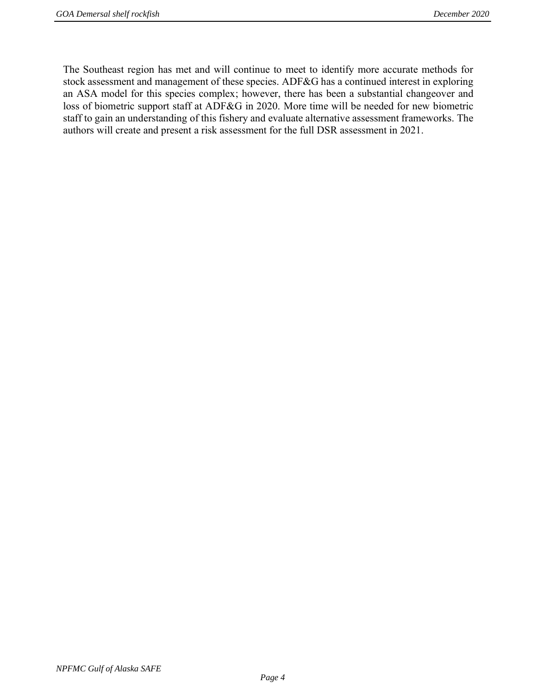The Southeast region has met and will continue to meet to identify more accurate methods for stock assessment and management of these species. ADF&G has a continued interest in exploring an ASA model for this species complex; however, there has been a substantial changeover and loss of biometric support staff at ADF&G in 2020. More time will be needed for new biometric staff to gain an understanding of this fishery and evaluate alternative assessment frameworks. The authors will create and present a risk assessment for the full DSR assessment in 2021.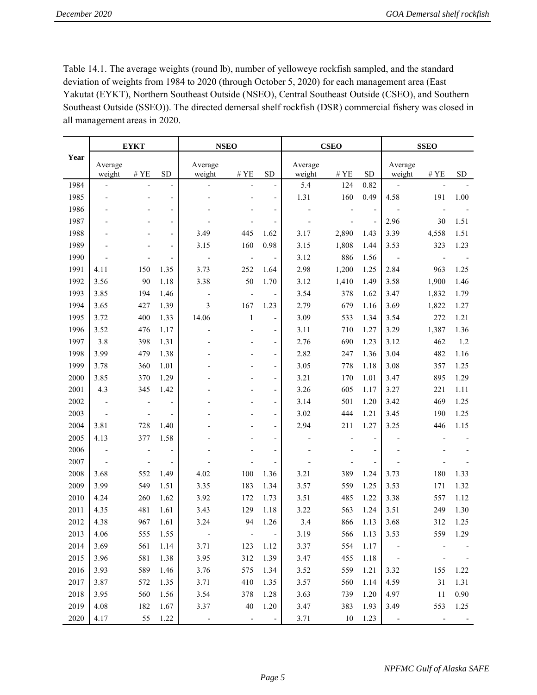Table 14.1. The average weights (round lb), number of yelloweye rockfish sampled, and the standard deviation of weights from 1984 to 2020 (through October 5, 2020) for each management area (East Yakutat (EYKT), Northern Southeast Outside (NSEO), Central Southeast Outside (CSEO), and Southern Southeast Outside (SSEO)). The directed demersal shelf rockfish (DSR) commercial fishery was closed in all management areas in 2020.

|      |                          | <b>EYKT</b>              |                          | <b>NSEO</b>              |                              |                              |                          | <b>CSEO</b>              |                          |                              | <b>SSEO</b>              |      |
|------|--------------------------|--------------------------|--------------------------|--------------------------|------------------------------|------------------------------|--------------------------|--------------------------|--------------------------|------------------------------|--------------------------|------|
| Year | Average<br>weight        | $\#$ YE                  | <b>SD</b>                | Average<br>weight        | #YE                          | <b>SD</b>                    | Average<br>weight        | $\#$ YE                  | <b>SD</b>                | Average<br>weight            | $\#$ YE                  | SD   |
| 1984 | $\overline{a}$           | $\overline{\phantom{a}}$ |                          |                          | $\overline{\phantom{a}}$     | ÷,                           | 5.4                      | 124                      | 0.82                     |                              |                          |      |
| 1985 |                          | $\overline{\phantom{a}}$ | $\overline{\phantom{0}}$ |                          |                              | $\qquad \qquad \blacksquare$ | 1.31                     | 160                      | 0.49                     | 4.58                         | 191                      | 1.00 |
| 1986 |                          | ÷,                       | $\overline{\phantom{a}}$ |                          |                              | $\overline{a}$               |                          | $\overline{\phantom{a}}$ | $\overline{\phantom{a}}$ |                              | $\overline{a}$           |      |
| 1987 |                          | $\overline{\phantom{a}}$ | $\overline{\phantom{a}}$ |                          | L.                           | $\qquad \qquad \blacksquare$ | $\overline{\phantom{a}}$ | $\overline{\phantom{a}}$ | $\overline{a}$           | 2.96                         | 30                       | 1.51 |
| 1988 |                          |                          | $\overline{\phantom{a}}$ | 3.49                     | 445                          | 1.62                         | 3.17                     | 2,890                    | 1.43                     | 3.39                         | 4,558                    | 1.51 |
| 1989 |                          | $\overline{\phantom{a}}$ | $\frac{1}{2}$            | 3.15                     | 160                          | 0.98                         | 3.15                     | 1,808                    | 1.44                     | 3.53                         | 323                      | 1.23 |
| 1990 |                          |                          | $\overline{\phantom{0}}$ |                          | $\qquad \qquad \blacksquare$ |                              | 3.12                     | 886                      | 1.56                     |                              | $\overline{a}$           |      |
| 1991 | 4.11                     | 150                      | 1.35                     | 3.73                     | 252                          | 1.64                         | 2.98                     | 1,200                    | 1.25                     | 2.84                         | 963                      | 1.25 |
| 1992 | 3.56                     | 90                       | 1.18                     | 3.38                     | 50                           | 1.70                         | 3.12                     | 1,410                    | 1.49                     | 3.58                         | 1,900                    | 1.46 |
| 1993 | 3.85                     | 194                      | 1.46                     | $\overline{a}$           | $\overline{a}$               | $\qquad \qquad \blacksquare$ | 3.54                     | 378                      | 1.62                     | 3.47                         | 1,832                    | 1.79 |
| 1994 | 3.65                     | 427                      | 1.39                     | $\mathfrak{Z}$           | 167                          | 1.23                         | 2.79                     | 679                      | 1.16                     | 3.69                         | 1,822                    | 1.27 |
| 1995 | 3.72                     | 400                      | 1.33                     | 14.06                    | $\mathbf{1}$                 | $\qquad \qquad \blacksquare$ | 3.09                     | 533                      | 1.34                     | 3.54                         | 272                      | 1.21 |
| 1996 | 3.52                     | 476                      | 1.17                     | ٠                        |                              | $\qquad \qquad \blacksquare$ | 3.11                     | 710                      | 1.27                     | 3.29                         | 1,387                    | 1.36 |
| 1997 | 3.8                      | 398                      | 1.31                     |                          |                              | $\qquad \qquad \blacksquare$ | 2.76                     | 690                      | 1.23                     | 3.12                         | 462                      | 1.2  |
| 1998 | 3.99                     | 479                      | 1.38                     |                          |                              | $\qquad \qquad \blacksquare$ | 2.82                     | 247                      | 1.36                     | 3.04                         | 482                      | 1.16 |
| 1999 | 3.78                     | 360                      | 1.01                     |                          |                              | $\qquad \qquad \blacksquare$ | 3.05                     | 778                      | 1.18                     | 3.08                         | 357                      | 1.25 |
| 2000 | 3.85                     | 370                      | 1.29                     |                          |                              | $\overline{\phantom{a}}$     | 3.21                     | 170                      | 1.01                     | 3.47                         | 895                      | 1.29 |
| 2001 | 4.3                      | 345                      | 1.42                     |                          |                              | $\overline{\phantom{a}}$     | 3.26                     | 605                      | 1.17                     | 3.27                         | 221                      | 1.11 |
| 2002 | $\overline{\phantom{a}}$ | $\overline{\phantom{a}}$ | $\overline{\phantom{a}}$ |                          |                              | $\qquad \qquad \blacksquare$ | 3.14                     | 501                      | 1.20                     | 3.42                         | 469                      | 1.25 |
| 2003 | $\overline{\phantom{a}}$ |                          |                          |                          |                              | $\qquad \qquad \blacksquare$ | 3.02                     | 444                      | 1.21                     | 3.45                         | 190                      | 1.25 |
| 2004 | 3.81                     | 728                      | 1.40                     |                          |                              | $\overline{\phantom{a}}$     | 2.94                     | 211                      | 1.27                     | 3.25                         | 446                      | 1.15 |
| 2005 | 4.13                     | 377                      | 1.58                     |                          |                              | $\overline{\phantom{a}}$     |                          |                          |                          |                              |                          |      |
| 2006 |                          |                          |                          |                          |                              | $\overline{\phantom{a}}$     |                          |                          | $\overline{\phantom{a}}$ |                              |                          |      |
| 2007 | $\overline{a}$           | $\overline{\phantom{a}}$ |                          |                          |                              | ÷,                           |                          |                          | $\overline{\phantom{a}}$ |                              |                          |      |
| 2008 | 3.68                     | 552                      | 1.49                     | 4.02                     | 100                          | 1.36                         | 3.21                     | 389                      | 1.24                     | 3.73                         | 180                      | 1.33 |
| 2009 | 3.99                     | 549                      | 1.51                     | 3.35                     | 183                          | 1.34                         | 3.57                     | 559                      | 1.25                     | 3.53                         | 171                      | 1.32 |
| 2010 | 4.24                     | 260                      | 1.62                     | 3.92                     | 172                          | 1.73                         | 3.51                     | 485                      | 1.22                     | 3.38                         | 557                      | 1.12 |
| 2011 | 4.35                     | 481                      | 1.61                     | 3.43                     | 129                          | 1.18                         | 3.22                     | 563                      | 1.24                     | 3.51                         | 249                      | 1.30 |
| 2012 | 4.38                     | 967                      | 1.61                     | 3.24                     | 94                           | 1.26                         | 3.4                      | 866                      | 1.13                     | 3.68                         | 312                      | 1.25 |
| 2013 | 4.06                     | 555                      | 1.55                     |                          | $\blacksquare$               | $\sim$                       | 3.19                     | 566                      | 1.13                     | 3.53                         | 559                      | 1.29 |
| 2014 | 3.69                     | 561                      | 1.14                     | 3.71                     | 123                          | 1.12                         | 3.37                     | 554                      | 1.17                     |                              |                          |      |
| 2015 | 3.96                     | 581                      | 1.38                     | 3.95                     | 312                          | 1.39                         | 3.47                     | 455                      | 1.18                     |                              |                          |      |
| 2016 | 3.93                     | 589                      | 1.46                     | 3.76                     | 575                          | 1.34                         | 3.52                     | 559                      | 1.21                     | 3.32                         | 155                      | 1.22 |
| 2017 | 3.87                     | 572                      | 1.35                     | 3.71                     | 410                          | 1.35                         | 3.57                     | 560                      | 1.14                     | 4.59                         | 31                       | 1.31 |
| 2018 | 3.95                     | 560                      | 1.56                     | 3.54                     | 378                          | 1.28                         | 3.63                     | 739                      | 1.20                     | 4.97                         | 11                       | 0.90 |
| 2019 | 4.08                     | 182                      | 1.67                     | 3.37                     | 40                           | 1.20                         | 3.47                     | 383                      | 1.93                     | 3.49                         | 553                      | 1.25 |
| 2020 | 4.17                     | 55                       | 1.22                     | $\overline{\phantom{m}}$ | $\overline{\phantom{a}}$     | $\overline{\phantom{a}}$     | 3.71                     | 10                       | 1.23                     | $\qquad \qquad \blacksquare$ | $\overline{\phantom{m}}$ |      |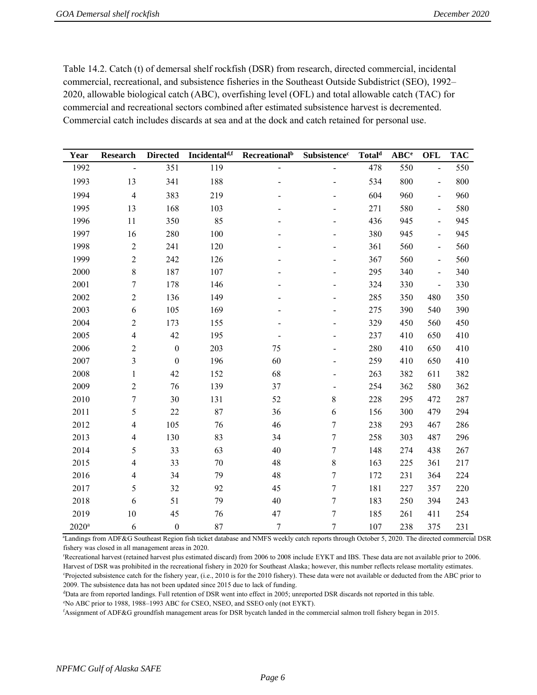Table 14.2. Catch (t) of demersal shelf rockfish (DSR) from research, directed commercial, incidental commercial, recreational, and subsistence fisheries in the Southeast Outside Subdistrict (SEO), 1992– 2020, allowable biological catch (ABC), overfishing level (OFL) and total allowable catch (TAC) for commercial and recreational sectors combined after estimated subsistence harvest is decremented. Commercial catch includes discards at sea and at the dock and catch retained for personal use.

| Year                | <b>Research</b>  | <b>Directed</b>  | Incidental <sup>d,f</sup> | <b>Recreational</b> <sup>b</sup> | Subsistence <sup>c</sup>     | Total <sup>d</sup> | $ABC^e$ | <b>OFL</b>               | <b>TAC</b> |
|---------------------|------------------|------------------|---------------------------|----------------------------------|------------------------------|--------------------|---------|--------------------------|------------|
| 1992                |                  | 351              | 119                       | $\overline{a}$                   | $\overline{a}$               | 478                | 550     | $\overline{a}$           | 550        |
| 1993                | 13               | 341              | 188                       |                                  | -                            | 534                | 800     | $\blacksquare$           | 800        |
| 1994                | $\overline{4}$   | 383              | 219                       |                                  |                              | 604                | 960     | $\frac{1}{2}$            | 960        |
| 1995                | 13               | 168              | 103                       |                                  |                              | 271                | 580     | $\frac{1}{2}$            | 580        |
| 1996                | 11               | 350              | 85                        |                                  |                              | 436                | 945     | $\overline{\phantom{0}}$ | 945        |
| 1997                | 16               | 280              | 100                       |                                  |                              | 380                | 945     | $\overline{\phantom{a}}$ | 945        |
| 1998                | $\sqrt{2}$       | 241              | 120                       |                                  |                              | 361                | 560     | $\frac{1}{2}$            | 560        |
| 1999                | $\sqrt{2}$       | 242              | 126                       |                                  |                              | 367                | 560     | $\overline{\phantom{0}}$ | 560        |
| 2000                | $\,$ $\,$        | 187              | 107                       |                                  |                              | 295                | 340     | $\frac{1}{2}$            | 340        |
| 2001                | $\boldsymbol{7}$ | 178              | 146                       |                                  |                              | 324                | 330     | $\frac{1}{2}$            | 330        |
| 2002                | $\sqrt{2}$       | 136              | 149                       |                                  |                              | 285                | 350     | 480                      | 350        |
| 2003                | 6                | 105              | 169                       |                                  |                              | 275                | 390     | 540                      | 390        |
| 2004                | $\sqrt{2}$       | 173              | 155                       |                                  |                              | 329                | 450     | 560                      | 450        |
| 2005                | $\overline{4}$   | 42               | 195                       |                                  |                              | 237                | 410     | 650                      | 410        |
| 2006                | $\sqrt{2}$       | $\boldsymbol{0}$ | 203                       | 75                               |                              | 280                | 410     | 650                      | 410        |
| 2007                | 3                | $\boldsymbol{0}$ | 196                       | 60                               |                              | 259                | 410     | 650                      | 410        |
| 2008                | $\mathbf{1}$     | 42               | 152                       | 68                               |                              | 263                | 382     | 611                      | 382        |
| 2009                | $\sqrt{2}$       | 76               | 139                       | 37                               | $\qquad \qquad \blacksquare$ | 254                | 362     | 580                      | 362        |
| 2010                | $\boldsymbol{7}$ | 30               | 131                       | 52                               | 8                            | 228                | 295     | 472                      | 287        |
| 2011                | 5                | 22               | 87                        | 36                               | 6                            | 156                | 300     | 479                      | 294        |
| 2012                | $\overline{4}$   | 105              | 76                        | 46                               | $\tau$                       | 238                | 293     | 467                      | 286        |
| 2013                | $\overline{4}$   | 130              | 83                        | 34                               | $\tau$                       | 258                | 303     | 487                      | 296        |
| 2014                | 5                | 33               | 63                        | 40                               | $\overline{7}$               | 148                | 274     | 438                      | 267        |
| 2015                | $\overline{4}$   | 33               | 70                        | 48                               | $8\,$                        | 163                | 225     | 361                      | 217        |
| 2016                | $\overline{4}$   | 34               | 79                        | 48                               | $\overline{7}$               | 172                | 231     | 364                      | 224        |
| 2017                | 5                | 32               | 92                        | 45                               | $\overline{7}$               | 181                | 227     | 357                      | 220        |
| 2018                | $\boldsymbol{6}$ | 51               | 79                        | 40                               | $\tau$                       | 183                | 250     | 394                      | 243        |
| 2019                | 10               | 45               | 76                        | 47                               | $\tau$                       | 185                | 261     | 411                      | 254        |
| $2020$ <sup>a</sup> | 6                | $\boldsymbol{0}$ | 87                        | $\overline{7}$                   | $\overline{7}$               | 107                | 238     | 375                      | 231        |

<sup>a</sup>Landings from ADF&G Southeast Region fish ticket database and NMFS weekly catch reports through October 5, 2020. The directed commercial DSR fishery was closed in all management areas in 2020.

<sup>r</sup>Recreational harvest (retained harvest plus estimated discard) from 2006 to 2008 include EYKT and IBS. These data are not available prior to 2006. Harvest of DSR was prohibited in the recreational fishery in 2020 for Southeast Alaska; however, this number reflects release mortality estimates. <sup>e</sup>Projected subsistence catch for the fishery year, (i.e., 2010 is for the 2010 fishery). These data were not available or deducted from the ABC prior to 2009. The subsistence data has not been updated since 2015 due to lack of funding.

<sup>d</sup>Data are from reported landings. Full retention of DSR went into effect in 2005; unreported DSR discards not reported in this table.

<sup>e</sup>No ABC prior to 1988, 1988–1993 ABC for CSEO, NSEO, and SSEO only (not EYKT).

<sup>f</sup>Assignment of ADF&G groundfish management areas for DSR bycatch landed in the commercial salmon troll fishery began in 2015.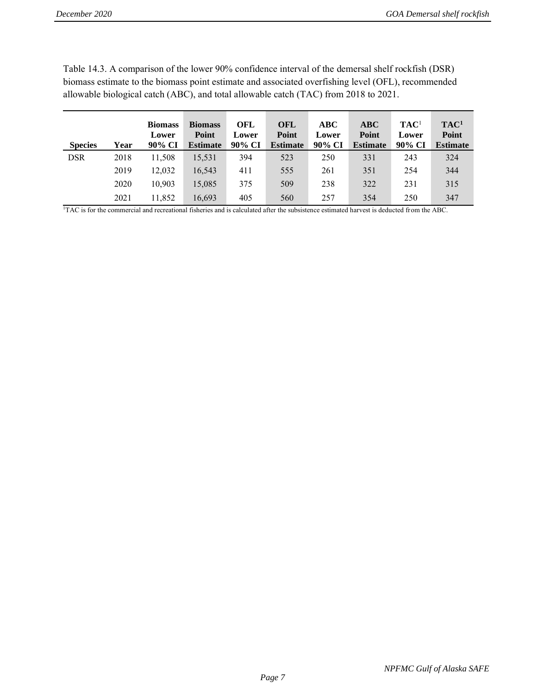| <b>Species</b> | Year | <b>Biomass</b><br>Lower<br>90% CI | <b>Biomass</b><br>Point<br><b>Estimate</b> | OFL<br>Lower<br>90% CI | <b>OFL</b><br>Point<br><b>Estimate</b> | ABC<br>Lower<br>90% CI | ABC<br>Point<br><b>Estimate</b> | TAC <sup>1</sup><br>Lower<br>90% CI | TAC <sup>1</sup><br>Point<br><b>Estimate</b> |
|----------------|------|-----------------------------------|--------------------------------------------|------------------------|----------------------------------------|------------------------|---------------------------------|-------------------------------------|----------------------------------------------|
| <b>DSR</b>     | 2018 | 11,508                            | 15,531                                     | 394                    | 523                                    | 250                    | 331                             | 243                                 | 324                                          |
|                | 2019 | 12.032                            | 16,543                                     | 411                    | 555                                    | 261                    | 351                             | 254                                 | 344                                          |
|                | 2020 | 10.903                            | 15,085                                     | 375                    | 509                                    | 238                    | 322                             | 231                                 | 315                                          |
|                | 2021 | 11,852                            | 16,693                                     | 405                    | 560                                    | 257                    | 354                             | 250                                 | 347                                          |

Table 14.3. A comparison of the lower 90% confidence interval of the demersal shelf rockfish (DSR) biomass estimate to the biomass point estimate and associated overfishing level (OFL), recommended allowable biological catch (ABC), and total allowable catch (TAC) from 2018 to 2021.

<sup>1</sup>TAC is for the commercial and recreational fisheries and is calculated after the subsistence estimated harvest is deducted from the ABC.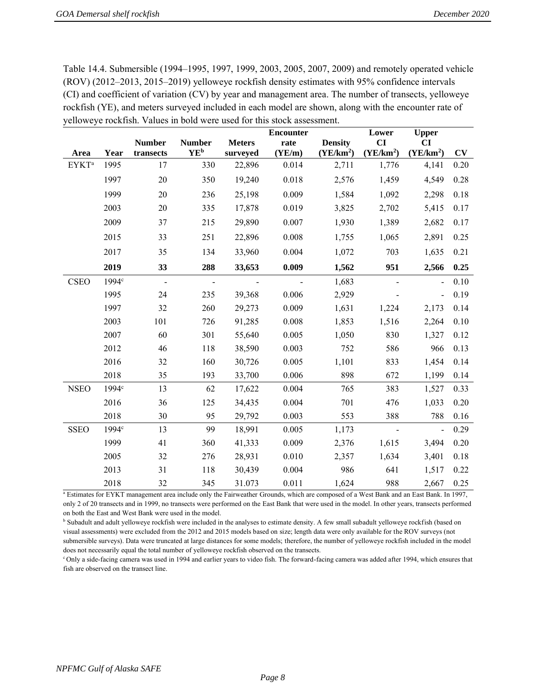Table 14.4. Submersible (1994–1995, 1997, 1999, 2003, 2005, 2007, 2009) and remotely operated vehicle (ROV) (2012–2013, 2015–2019) yelloweye rockfish density estimates with 95% confidence intervals (CI) and coefficient of variation (CV) by year and management area. The number of transects, yelloweye rockfish (YE), and meters surveyed included in each model are shown, along with the encounter rate of yelloweye rockfish. Values in bold were used for this stock assessment.

|                         |                   |                     |                        |               | <b>Encounter</b> |                       | Lower                 | <b>Upper</b>          |      |
|-------------------------|-------------------|---------------------|------------------------|---------------|------------------|-----------------------|-----------------------|-----------------------|------|
|                         |                   | <b>Number</b>       | <b>Number</b>          | <b>Meters</b> | rate             | <b>Density</b>        | CI                    | CI                    |      |
| Area                    | Year              | transects           | <b>YE</b> <sup>b</sup> | surveyed      | (YE/m)           | (YE/km <sup>2</sup> ) | (YE/km <sup>2</sup> ) | (YE/km <sup>2</sup> ) | CV   |
| <b>EYKT<sup>a</sup></b> | 1995              | 17                  | 330                    | 22,896        | 0.014            | 2,711                 | 1,776                 | 4,141                 | 0.20 |
|                         | 1997              | 20                  | 350                    | 19,240        | 0.018            | 2,576                 | 1,459                 | 4,549                 | 0.28 |
|                         | 1999              | 20                  | 236                    | 25,198        | 0.009            | 1,584                 | 1,092                 | 2,298                 | 0.18 |
|                         | 2003              | 20                  | 335                    | 17,878        | 0.019            | 3,825                 | 2,702                 | 5,415                 | 0.17 |
|                         | 2009              | 37                  | 215                    | 29,890        | 0.007            | 1,930                 | 1,389                 | 2,682                 | 0.17 |
|                         | 2015              | 33                  | 251                    | 22,896        | 0.008            | 1,755                 | 1,065                 | 2,891                 | 0.25 |
|                         | 2017              | 35                  | 134                    | 33,960        | 0.004            | 1,072                 | 703                   | 1,635                 | 0.21 |
|                         | 2019              | 33                  | 288                    | 33,653        | 0.009            | 1,562                 | 951                   | 2,566                 | 0.25 |
| <b>CSEO</b>             | 1994 <sup>c</sup> | $\bar{\phantom{a}}$ | $\sim$                 |               |                  | 1,683                 |                       |                       | 0.10 |
|                         | 1995              | 24                  | 235                    | 39,368        | 0.006            | 2,929                 |                       | $\blacksquare$        | 0.19 |
|                         | 1997              | 32                  | 260                    | 29,273        | 0.009            | 1,631                 | 1,224                 | 2,173                 | 0.14 |
|                         | 2003              | 101                 | 726                    | 91,285        | 0.008            | 1,853                 | 1,516                 | 2,264                 | 0.10 |
|                         | 2007              | 60                  | 301                    | 55,640        | 0.005            | 1,050                 | 830                   | 1,327                 | 0.12 |
|                         | 2012              | 46                  | 118                    | 38,590        | 0.003            | 752                   | 586                   | 966                   | 0.13 |
|                         | 2016              | 32                  | 160                    | 30,726        | 0.005            | 1,101                 | 833                   | 1,454                 | 0.14 |
|                         | 2018              | 35                  | 193                    | 33,700        | 0.006            | 898                   | 672                   | 1,199                 | 0.14 |
| <b>NSEO</b>             | 1994 <sup>c</sup> | 13                  | 62                     | 17,622        | 0.004            | 765                   | 383                   | 1,527                 | 0.33 |
|                         | 2016              | 36                  | 125                    | 34,435        | 0.004            | 701                   | 476                   | 1,033                 | 0.20 |
|                         | 2018              | 30                  | 95                     | 29,792        | 0.003            | 553                   | 388                   | 788                   | 0.16 |
| <b>SSEO</b>             | 1994 <sup>c</sup> | 13                  | 99                     | 18,991        | 0.005            | 1,173                 |                       | $\overline{a}$        | 0.29 |
|                         | 1999              | 41                  | 360                    | 41,333        | 0.009            | 2,376                 | 1,615                 | 3,494                 | 0.20 |
|                         | 2005              | 32                  | 276                    | 28,931        | 0.010            | 2,357                 | 1,634                 | 3,401                 | 0.18 |
|                         | 2013              | 31                  | 118                    | 30,439        | 0.004            | 986                   | 641                   | 1,517                 | 0.22 |
|                         | 2018              | 32                  | 345                    | 31.073        | 0.011            | 1,624                 | 988                   | 2,667                 | 0.25 |

<sup>a</sup> Estimates for EYKT management area include only the Fairweather Grounds, which are composed of a West Bank and an East Bank. In 1997, only 2 of 20 transects and in 1999, no transects were performed on the East Bank that were used in the model. In other years, transects performed on both the East and West Bank were used in the model.

<sup>b</sup> Subadult and adult yelloweye rockfish were included in the analyses to estimate density. A few small subadult yelloweye rockfish (based on visual assessments) were excluded from the 2012 and 2015 models based on size; length data were only available for the ROV surveys (not submersible surveys). Data were truncated at large distances for some models; therefore, the number of yelloweye rockfish included in the model does not necessarily equal the total number of yelloweye rockfish observed on the transects.

<sup>c</sup>Only a side-facing camera was used in 1994 and earlier years to video fish. The forward-facing camera was added after 1994, which ensures that fish are observed on the transect line.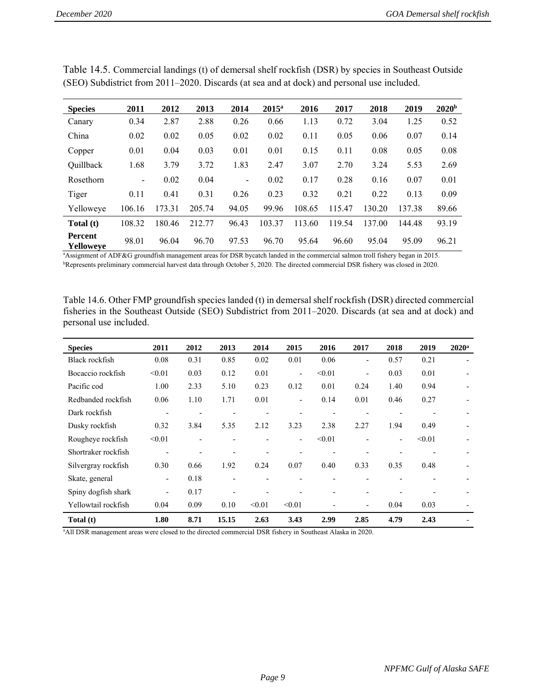| <b>Species</b>       | 2011                     | 2012   | 2013   | 2014                     | $2015^a$ | 2016   | 2017   | 2018   | 2019   | 2020 <sup>b</sup> |
|----------------------|--------------------------|--------|--------|--------------------------|----------|--------|--------|--------|--------|-------------------|
| Canary               | 0.34                     | 2.87   | 2.88   | 0.26                     | 0.66     | 1.13   | 0.72   | 3.04   | 1.25   | 0.52              |
| China                | 0.02                     | 0.02   | 0.05   | 0.02                     | 0.02     | 0.11   | 0.05   | 0.06   | 0.07   | 0.14              |
| Copper               | 0.01                     | 0.04   | 0.03   | 0.01                     | 0.01     | 0.15   | 0.11   | 0.08   | 0.05   | 0.08              |
| Quillback            | 1.68                     | 3.79   | 3.72   | 1.83                     | 2.47     | 3.07   | 2.70   | 3.24   | 5.53   | 2.69              |
| Rosethorn            | $\overline{\phantom{0}}$ | 0.02   | 0.04   | $\overline{\phantom{a}}$ | 0.02     | 0.17   | 0.28   | 0.16   | 0.07   | 0.01              |
| Tiger                | 0.11                     | 0.41   | 0.31   | 0.26                     | 0.23     | 0.32   | 0.21   | 0.22   | 0.13   | 0.09              |
| Yelloweve            | 106.16                   | 173.31 | 205.74 | 94.05                    | 99.96    | 108.65 | 115.47 | 130.20 | 137.38 | 89.66             |
| Total (t)            | 108.32                   | 180.46 | 212.77 | 96.43                    | 103.37   | 113.60 | 119.54 | 137.00 | 144.48 | 93.19             |
| Percent<br>Yelloweye | 98.01                    | 96.04  | 96.70  | 97.53                    | 96.70    | 95.64  | 96.60  | 95.04  | 95.09  | 96.21             |

Table 14.5. Commercial landings (t) of demersal shelf rockfish (DSR) by species in Southeast Outside (SEO) Subdistrict from 2011–2020. Discards (at sea and at dock) and personal use included.

<sup>a</sup>Assignment of ADF&G groundfish management areas for DSR bycatch landed in the commercial salmon troll fishery began in 2015. <sup>b</sup>Represents preliminary commercial harvest data through October 5, 2020. The directed commercial DSR fishery was closed in 2020.

Table 14.6. Other FMP groundfish species landed (t) in demersal shelf rockfish (DSR) directed commercial fisheries in the Southeast Outside (SEO) Subdistrict from 2011–2020. Discards (at sea and at dock) and personal use included.

| <b>Species</b>      | 2011                         | 2012                     | 2013                     | 2014                     | 2015                     | 2016                     | 2017                         | 2018                     | 2019                     | $2020^{\rm a}$           |
|---------------------|------------------------------|--------------------------|--------------------------|--------------------------|--------------------------|--------------------------|------------------------------|--------------------------|--------------------------|--------------------------|
| Black rockfish      | 0.08                         | 0.31                     | 0.85                     | 0.02                     | 0.01                     | 0.06                     | $\overline{\phantom{a}}$     | 0.57                     | 0.21                     | $\overline{\phantom{0}}$ |
| Bocaccio rockfish   | < 0.01                       | 0.03                     | 0.12                     | 0.01                     | -                        | < 0.01                   | $\qquad \qquad \blacksquare$ | 0.03                     | 0.01                     | $\overline{\phantom{a}}$ |
| Pacific cod         | 1.00                         | 2.33                     | 5.10                     | 0.23                     | 0.12                     | 0.01                     | 0.24                         | 1.40                     | 0.94                     |                          |
| Redbanded rockfish  | 0.06                         | 1.10                     | 1.71                     | 0.01                     | -                        | 0.14                     | 0.01                         | 0.46                     | 0.27                     |                          |
| Dark rockfish       | -                            | $\overline{\phantom{a}}$ | ٠                        | $\overline{\phantom{a}}$ | $\overline{\phantom{a}}$ | $\overline{\phantom{a}}$ |                              | $\overline{\phantom{a}}$ |                          |                          |
| Dusky rockfish      | 0.32                         | 3.84                     | 5.35                     | 2.12                     | 3.23                     | 2.38                     | 2.27                         | 1.94                     | 0.49                     |                          |
| Rougheye rockfish   | < 0.01                       | $\overline{\phantom{0}}$ |                          |                          | -                        | < 0.01                   |                              | $\blacksquare$           | < 0.01                   |                          |
| Shortraker rockfish | $\qquad \qquad \blacksquare$ |                          |                          |                          | $\blacksquare$           |                          |                              | $\blacksquare$           |                          |                          |
| Silvergray rockfish | 0.30                         | 0.66                     | 1.92                     | 0.24                     | 0.07                     | 0.40                     | 0.33                         | 0.35                     | 0.48                     |                          |
| Skate, general      | $\overline{\phantom{0}}$     | 0.18                     | $\overline{\phantom{0}}$ |                          |                          |                          |                              | $\overline{\phantom{0}}$ | $\overline{\phantom{0}}$ |                          |
| Spiny dogfish shark | -                            | 0.17                     | ۰                        |                          |                          |                          |                              |                          |                          |                          |
| Yellowtail rockfish | 0.04                         | 0.09                     | 0.10                     | < 0.01                   | < 0.01                   |                          | $\overline{\phantom{a}}$     | 0.04                     | 0.03                     |                          |
| Total (t)           | 1.80                         | 8.71                     | 15.15                    | 2.63                     | 3.43                     | 2.99                     | 2.85                         | 4.79                     | 2.43                     |                          |

<sup>a</sup>All DSR management areas were closed to the directed commercial DSR fishery in Southeast Alaska in 2020.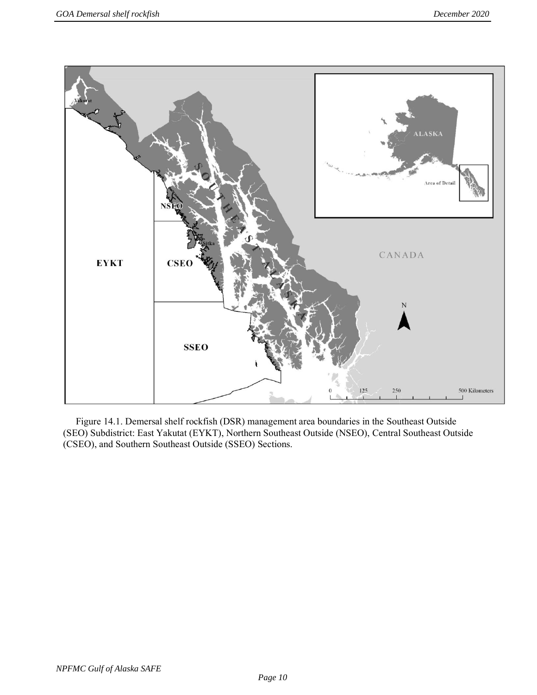

Figure 14.1. Demersal shelf rockfish (DSR) management area boundaries in the Southeast Outside (SEO) Subdistrict: East Yakutat (EYKT), Northern Southeast Outside (NSEO), Central Southeast Outside (CSEO), and Southern Southeast Outside (SSEO) Sections.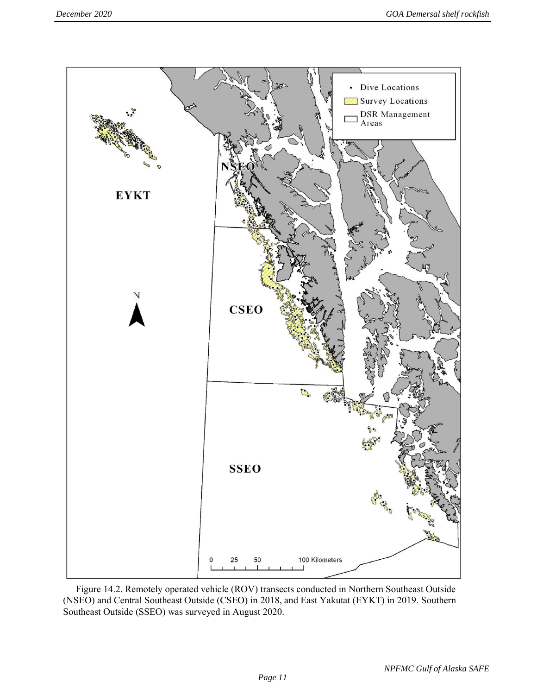

Figure 14.2. Remotely operated vehicle (ROV) transects conducted in Northern Southeast Outside (NSEO) and Central Southeast Outside (CSEO) in 2018, and East Yakutat (EYKT) in 2019. Southern Southeast Outside (SSEO) was surveyed in August 2020.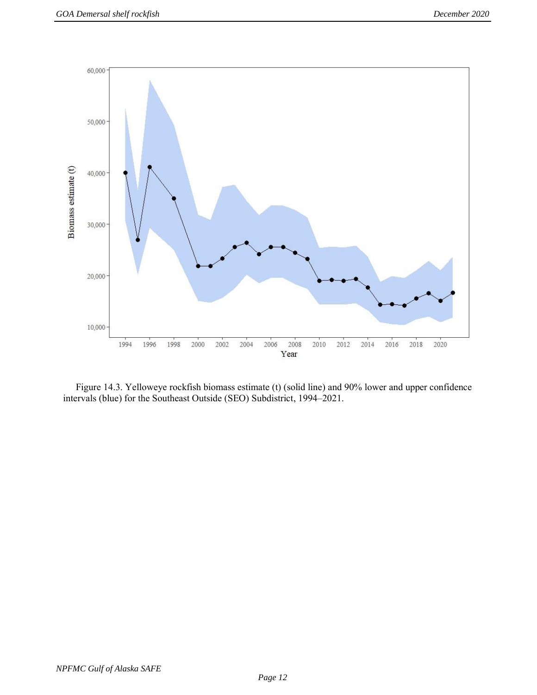

Figure 14.3. Yelloweye rockfish biomass estimate (t) (solid line) and 90% lower and upper confidence intervals (blue) for the Southeast Outside (SEO) Subdistrict, 1994–2021.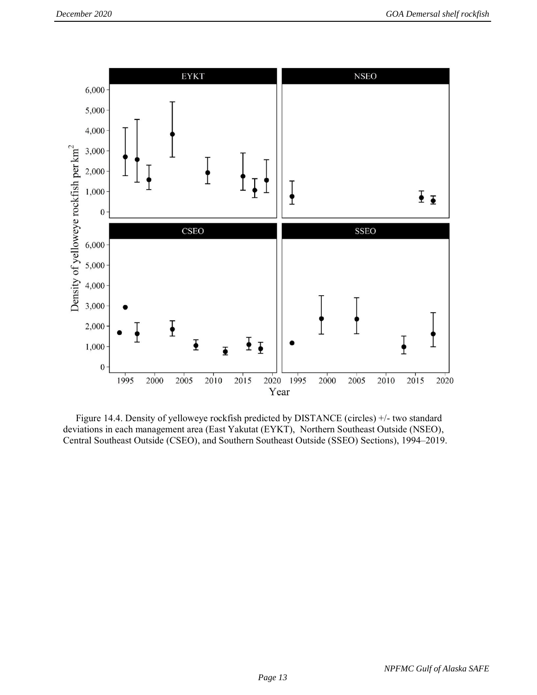

Figure 14.4. Density of yelloweye rockfish predicted by DISTANCE (circles) +/- two standard deviations in each management area (East Yakutat (EYKT), Northern Southeast Outside (NSEO), Central Southeast Outside (CSEO), and Southern Southeast Outside (SSEO) Sections), 1994–2019.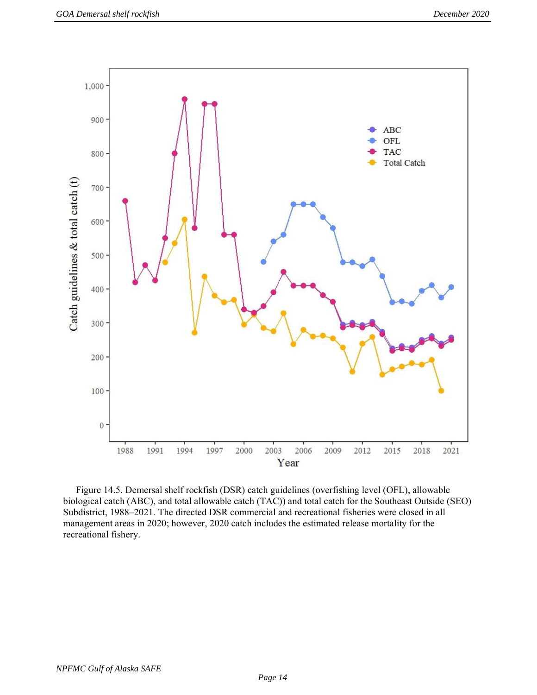

Figure 14.5. Demersal shelf rockfish (DSR) catch guidelines (overfishing level (OFL), allowable biological catch (ABC), and total allowable catch (TAC)) and total catch for the Southeast Outside (SEO) Subdistrict, 1988–2021. The directed DSR commercial and recreational fisheries were closed in all management areas in 2020; however, 2020 catch includes the estimated release mortality for the recreational fishery.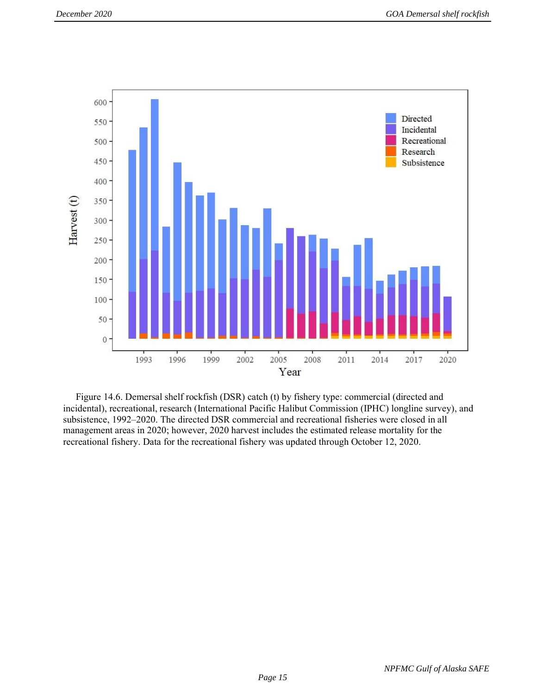

Figure 14.6. Demersal shelf rockfish (DSR) catch (t) by fishery type: commercial (directed and incidental), recreational, research (International Pacific Halibut Commission (IPHC) longline survey), and subsistence, 1992–2020. The directed DSR commercial and recreational fisheries were closed in all management areas in 2020; however, 2020 harvest includes the estimated release mortality for the recreational fishery. Data for the recreational fishery was updated through October 12, 2020.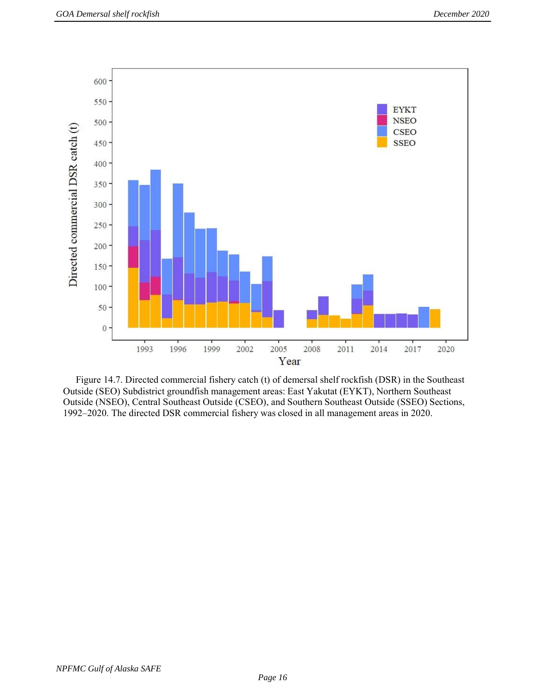

Figure 14.7. Directed commercial fishery catch (t) of demersal shelf rockfish (DSR) in the Southeast Outside (SEO) Subdistrict groundfish management areas: East Yakutat (EYKT), Northern Southeast Outside (NSEO), Central Southeast Outside (CSEO), and Southern Southeast Outside (SSEO) Sections, 1992–2020. The directed DSR commercial fishery was closed in all management areas in 2020.